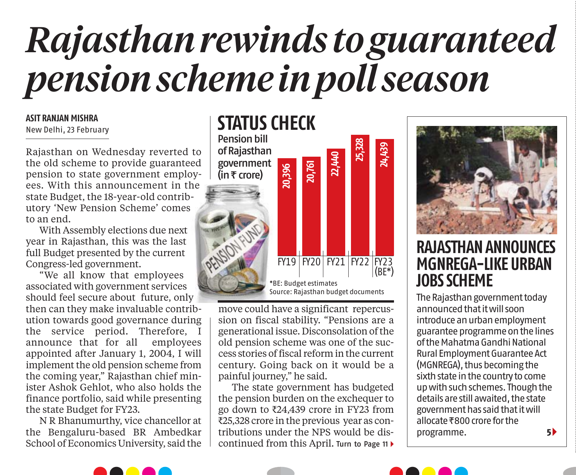## *Rajasthan rewinds to guaranteed pension scheme in poll season*

## **ASIT RANJAN MISHRA**

New Delhi, 23 February

Rajasthan on Wednesday reverted to the old scheme to provide guaranteed pension to state government employees. With this announcement in the state Budget, the 18-year-old contributory 'New Pension Scheme' comes to an end.

With Assembly elections due next year in Rajasthan, this was the last full Budget presented by the current Congress-led government.

"We all know that employees associated with government services should feel secure about future, only

then can they make invaluable contribution towards good governance during the service period. Therefore, I announce that for all employees appointed after January 1, 2004, I will implement the old pension scheme from the coming year," Rajasthan chief minister Ashok Gehlot, who also holds the finance portfolio, said while presenting the state Budget for FY23.

N R Bhanumurthy, vice chancellor at the Bengaluru-based BR Ambedkar School of Economics University, said the



move could have a significant repercussion on fiscal stability. "Pensions are a generational issue. Disconsolation of the old pension scheme was one of the success stories of fiscal reform in the current century. Going back on it would be a painful journey," he said.

The state government has budgeted the pension burden on the exchequer to go down to  $\text{\textsterling}24,439$  crore in FY23 from ₹25,328 crore in the previous year as contributions under the NPS would be discontinued from this April. Turn to Page 11 <sup>&</sup>gt;



## **RAJASTHAN ANNOUNCES MGNREGA-LIKE URBAN JOBS SCHEME**

The Rajasthan government today announced that it will soon introduce an urban employment guarantee programme on the lines of the Mahatma Gandhi National Rural Employment Guarantee Act (MGNREGA), thus becoming the sixth state in the country to come up with such schemes. Though the details are still awaited, the state government has said that it will allocate  $\overline{\epsilon}800$  crore for the programme. **5** >